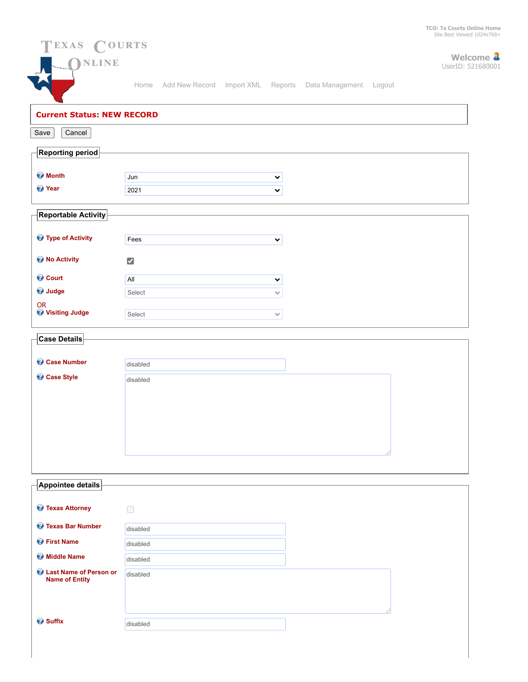

| Appointee details                               |          |  |
|-------------------------------------------------|----------|--|
| <b>&amp;</b> Texas Attorney                     |          |  |
| <b>C</b> Texas Bar Number                       | disabled |  |
| <b><i>O</i></b> First Name                      | disabled |  |
| <b>Widdle Name</b>                              | disabled |  |
| Last Name of Person or<br><b>Name of Entity</b> | disabled |  |
|                                                 |          |  |
|                                                 |          |  |
| <b>&amp;</b> Suffix                             | disabled |  |
|                                                 |          |  |